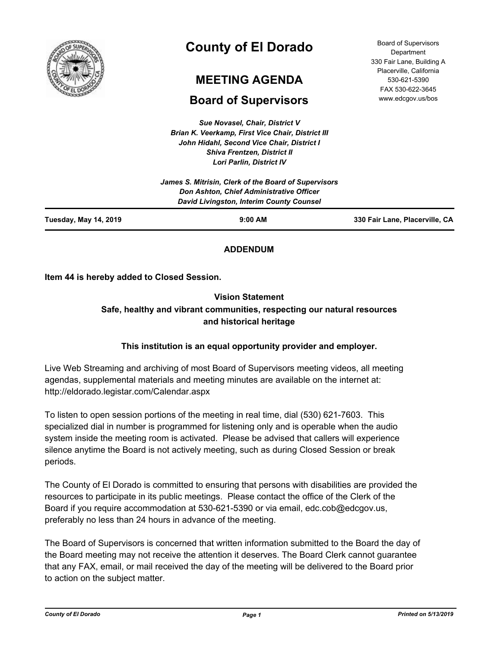

# **County of El Dorado**

# **MEETING AGENDA**

# **Board of Supervisors**

*Sue Novasel, Chair, District V Brian K. Veerkamp, First Vice Chair, District III John Hidahl, Second Vice Chair, District I Shiva Frentzen, District II Lori Parlin, District IV*

| 330 Fair Lane, Placerville, CA |
|--------------------------------|
|                                |
|                                |
|                                |

## **ADDENDUM**

**Item 44 is hereby added to Closed Session.**

# **Vision Statement Safe, healthy and vibrant communities, respecting our natural resources and historical heritage**

## **This institution is an equal opportunity provider and employer.**

Live Web Streaming and archiving of most Board of Supervisors meeting videos, all meeting agendas, supplemental materials and meeting minutes are available on the internet at: http://eldorado.legistar.com/Calendar.aspx

To listen to open session portions of the meeting in real time, dial (530) 621-7603. This specialized dial in number is programmed for listening only and is operable when the audio system inside the meeting room is activated. Please be advised that callers will experience silence anytime the Board is not actively meeting, such as during Closed Session or break periods.

The County of El Dorado is committed to ensuring that persons with disabilities are provided the resources to participate in its public meetings. Please contact the office of the Clerk of the Board if you require accommodation at 530-621-5390 or via email, edc.cob@edcgov.us, preferably no less than 24 hours in advance of the meeting.

The Board of Supervisors is concerned that written information submitted to the Board the day of the Board meeting may not receive the attention it deserves. The Board Clerk cannot guarantee that any FAX, email, or mail received the day of the meeting will be delivered to the Board prior to action on the subject matter.

*County of El Dorado Page 1 Printed on 5/13/2019*

Board of Supervisors **Department** 330 Fair Lane, Building A Placerville, California 530-621-5390 FAX 530-622-3645 www.edcgov.us/bos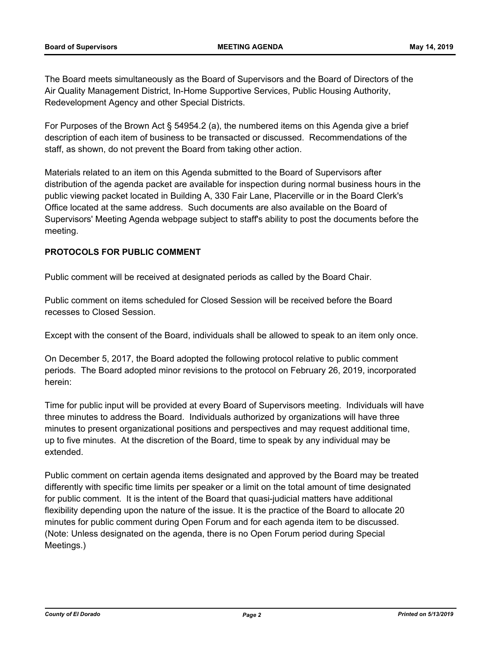The Board meets simultaneously as the Board of Supervisors and the Board of Directors of the Air Quality Management District, In-Home Supportive Services, Public Housing Authority, Redevelopment Agency and other Special Districts.

For Purposes of the Brown Act § 54954.2 (a), the numbered items on this Agenda give a brief description of each item of business to be transacted or discussed. Recommendations of the staff, as shown, do not prevent the Board from taking other action.

Materials related to an item on this Agenda submitted to the Board of Supervisors after distribution of the agenda packet are available for inspection during normal business hours in the public viewing packet located in Building A, 330 Fair Lane, Placerville or in the Board Clerk's Office located at the same address. Such documents are also available on the Board of Supervisors' Meeting Agenda webpage subject to staff's ability to post the documents before the meeting.

#### **PROTOCOLS FOR PUBLIC COMMENT**

Public comment will be received at designated periods as called by the Board Chair.

Public comment on items scheduled for Closed Session will be received before the Board recesses to Closed Session.

Except with the consent of the Board, individuals shall be allowed to speak to an item only once.

On December 5, 2017, the Board adopted the following protocol relative to public comment periods. The Board adopted minor revisions to the protocol on February 26, 2019, incorporated herein:

Time for public input will be provided at every Board of Supervisors meeting. Individuals will have three minutes to address the Board. Individuals authorized by organizations will have three minutes to present organizational positions and perspectives and may request additional time, up to five minutes. At the discretion of the Board, time to speak by any individual may be extended.

Public comment on certain agenda items designated and approved by the Board may be treated differently with specific time limits per speaker or a limit on the total amount of time designated for public comment. It is the intent of the Board that quasi-judicial matters have additional flexibility depending upon the nature of the issue. It is the practice of the Board to allocate 20 minutes for public comment during Open Forum and for each agenda item to be discussed. (Note: Unless designated on the agenda, there is no Open Forum period during Special Meetings.)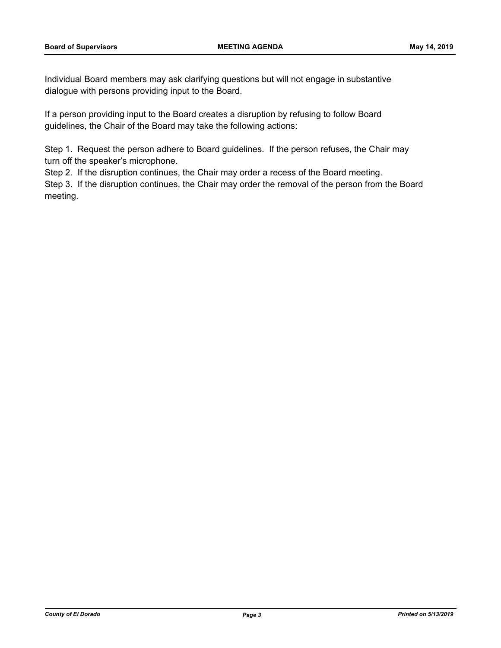Individual Board members may ask clarifying questions but will not engage in substantive dialogue with persons providing input to the Board.

If a person providing input to the Board creates a disruption by refusing to follow Board guidelines, the Chair of the Board may take the following actions:

Step 1. Request the person adhere to Board guidelines. If the person refuses, the Chair may turn off the speaker's microphone.

Step 2. If the disruption continues, the Chair may order a recess of the Board meeting.

Step 3. If the disruption continues, the Chair may order the removal of the person from the Board meeting.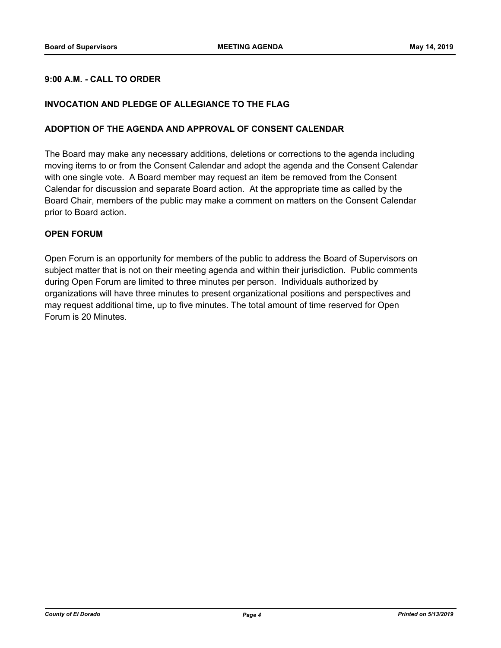#### **9:00 A.M. - CALL TO ORDER**

#### **INVOCATION AND PLEDGE OF ALLEGIANCE TO THE FLAG**

#### **ADOPTION OF THE AGENDA AND APPROVAL OF CONSENT CALENDAR**

The Board may make any necessary additions, deletions or corrections to the agenda including moving items to or from the Consent Calendar and adopt the agenda and the Consent Calendar with one single vote. A Board member may request an item be removed from the Consent Calendar for discussion and separate Board action. At the appropriate time as called by the Board Chair, members of the public may make a comment on matters on the Consent Calendar prior to Board action.

#### **OPEN FORUM**

Open Forum is an opportunity for members of the public to address the Board of Supervisors on subject matter that is not on their meeting agenda and within their jurisdiction. Public comments during Open Forum are limited to three minutes per person. Individuals authorized by organizations will have three minutes to present organizational positions and perspectives and may request additional time, up to five minutes. The total amount of time reserved for Open Forum is 20 Minutes.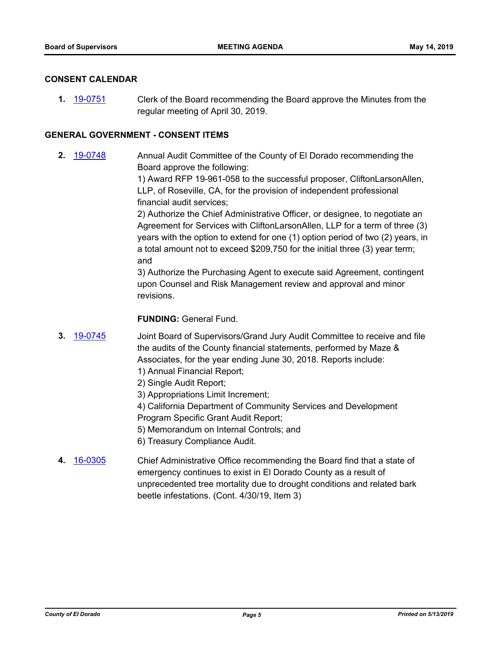#### **CONSENT CALENDAR**

**1.** [19-0751](http://eldorado.legistar.com/gateway.aspx?m=l&id=/matter.aspx?key=26073) Clerk of the Board recommending the Board approve the Minutes from the regular meeting of April 30, 2019.

#### **GENERAL GOVERNMENT - CONSENT ITEMS**

**2.** [19-0748](http://eldorado.legistar.com/gateway.aspx?m=l&id=/matter.aspx?key=26070) Annual Audit Committee of the County of El Dorado recommending the Board approve the following:

> 1) Award RFP 19-961-058 to the successful proposer, CliftonLarsonAllen, LLP, of Roseville, CA, for the provision of independent professional financial audit services;

2) Authorize the Chief Administrative Officer, or designee, to negotiate an Agreement for Services with CliftonLarsonAllen, LLP for a term of three (3) years with the option to extend for one (1) option period of two (2) years, in a total amount not to exceed \$209,750 for the initial three (3) year term; and

3) Authorize the Purchasing Agent to execute said Agreement, contingent upon Counsel and Risk Management review and approval and minor revisions.

**FUNDING:** General Fund.

- **3.** [19-0745](http://eldorado.legistar.com/gateway.aspx?m=l&id=/matter.aspx?key=26067) Joint Board of Supervisors/Grand Jury Audit Committee to receive and file the audits of the County financial statements, performed by Maze & Associates, for the year ending June 30, 2018. Reports include:
	- 1) Annual Financial Report;
	- 2) Single Audit Report;
	- 3) Appropriations Limit Increment;
	- 4) California Department of Community Services and Development
	- Program Specific Grant Audit Report;
	- 5) Memorandum on Internal Controls; and
	- 6) Treasury Compliance Audit.
- **4.** [16-0305](http://eldorado.legistar.com/gateway.aspx?m=l&id=/matter.aspx?key=20961) Chief Administrative Office recommending the Board find that a state of emergency continues to exist in El Dorado County as a result of unprecedented tree mortality due to drought conditions and related bark beetle infestations. (Cont. 4/30/19, Item 3)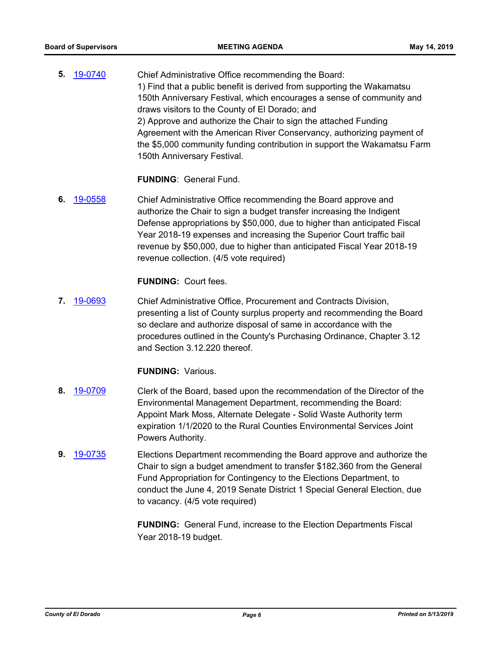**5.** [19-0740](http://eldorado.legistar.com/gateway.aspx?m=l&id=/matter.aspx?key=26062) Chief Administrative Office recommending the Board: 1) Find that a public benefit is derived from supporting the Wakamatsu 150th Anniversary Festival, which encourages a sense of community and draws visitors to the County of El Dorado; and 2) Approve and authorize the Chair to sign the attached Funding Agreement with the American River Conservancy, authorizing payment of the \$5,000 community funding contribution in support the Wakamatsu Farm 150th Anniversary Festival.

**FUNDING**: General Fund.

**6.** [19-0558](http://eldorado.legistar.com/gateway.aspx?m=l&id=/matter.aspx?key=25879) Chief Administrative Office recommending the Board approve and authorize the Chair to sign a budget transfer increasing the Indigent Defense appropriations by \$50,000, due to higher than anticipated Fiscal Year 2018-19 expenses and increasing the Superior Court traffic bail revenue by \$50,000, due to higher than anticipated Fiscal Year 2018-19 revenue collection. (4/5 vote required)

#### **FUNDING:** Court fees.

**7.** [19-0693](http://eldorado.legistar.com/gateway.aspx?m=l&id=/matter.aspx?key=26015) Chief Administrative Office, Procurement and Contracts Division, presenting a list of County surplus property and recommending the Board so declare and authorize disposal of same in accordance with the procedures outlined in the County's Purchasing Ordinance, Chapter 3.12 and Section 3.12.220 thereof.

#### **FUNDING:** Various.

- **8.** [19-0709](http://eldorado.legistar.com/gateway.aspx?m=l&id=/matter.aspx?key=26031) Clerk of the Board, based upon the recommendation of the Director of the Environmental Management Department, recommending the Board: Appoint Mark Moss, Alternate Delegate - Solid Waste Authority term expiration 1/1/2020 to the Rural Counties Environmental Services Joint Powers Authority.
- **9.** [19-0735](http://eldorado.legistar.com/gateway.aspx?m=l&id=/matter.aspx?key=26057) Elections Department recommending the Board approve and authorize the Chair to sign a budget amendment to transfer \$182,360 from the General Fund Appropriation for Contingency to the Elections Department, to conduct the June 4, 2019 Senate District 1 Special General Election, due to vacancy. (4/5 vote required)

**FUNDING:** General Fund, increase to the Election Departments Fiscal Year 2018-19 budget.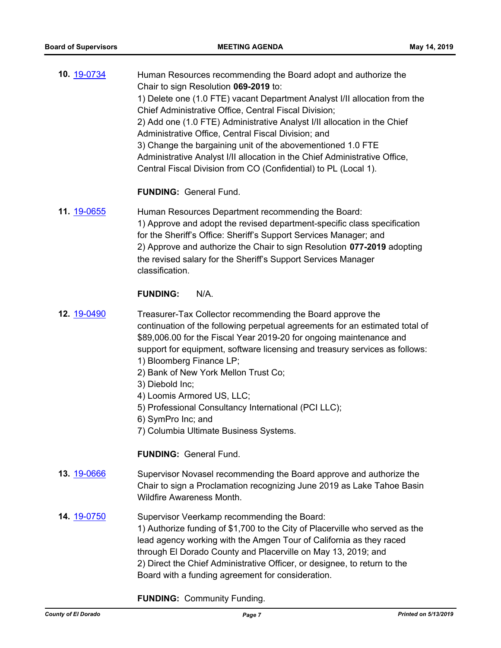| 10. 19-0734 | Human Resources recommending the Board adopt and authorize the             |
|-------------|----------------------------------------------------------------------------|
|             | Chair to sign Resolution 069-2019 to:                                      |
|             | 1) Delete one (1.0 FTE) vacant Department Analyst I/II allocation from the |
|             | Chief Administrative Office, Central Fiscal Division;                      |
|             | 2) Add one (1.0 FTE) Administrative Analyst I/II allocation in the Chief   |
|             | Administrative Office, Central Fiscal Division; and                        |
|             | 3) Change the bargaining unit of the abovementioned 1.0 FTE                |
|             | Administrative Analyst I/II allocation in the Chief Administrative Office, |
|             | Central Fiscal Division from CO (Confidential) to PL (Local 1).            |
|             |                                                                            |
|             |                                                                            |

#### **FUNDING:** General Fund.

**11.** [19-0655](http://eldorado.legistar.com/gateway.aspx?m=l&id=/matter.aspx?key=25977) Human Resources Department recommending the Board: 1) Approve and adopt the revised department-specific class specification for the Sheriff's Office: Sheriff's Support Services Manager; and 2) Approve and authorize the Chair to sign Resolution **077-2019** adopting the revised salary for the Sheriff's Support Services Manager classification.

#### **FUNDING:** N/A.

- **12.** [19-0490](http://eldorado.legistar.com/gateway.aspx?m=l&id=/matter.aspx?key=25811) Treasurer-Tax Collector recommending the Board approve the continuation of the following perpetual agreements for an estimated total of \$89,006.00 for the Fiscal Year 2019-20 for ongoing maintenance and support for equipment, software licensing and treasury services as follows:
	- 1) Bloomberg Finance LP;
	- 2) Bank of New York Mellon Trust Co;
	- 3) Diebold Inc;
	- 4) Loomis Armored US, LLC;
	- 5) Professional Consultancy International (PCI LLC);
	- 6) SymPro Inc; and
	- 7) Columbia Ultimate Business Systems.

#### **FUNDING:** General Fund.

- **13.** [19-0666](http://eldorado.legistar.com/gateway.aspx?m=l&id=/matter.aspx?key=25988) Supervisor Novasel recommending the Board approve and authorize the Chair to sign a Proclamation recognizing June 2019 as Lake Tahoe Basin Wildfire Awareness Month.
- **14.** [19-0750](http://eldorado.legistar.com/gateway.aspx?m=l&id=/matter.aspx?key=26072) Supervisor Veerkamp recommending the Board: 1) Authorize funding of \$1,700 to the City of Placerville who served as the lead agency working with the Amgen Tour of California as they raced through El Dorado County and Placerville on May 13, 2019; and 2) Direct the Chief Administrative Officer, or designee, to return to the Board with a funding agreement for consideration.

**FUNDING:** Community Funding.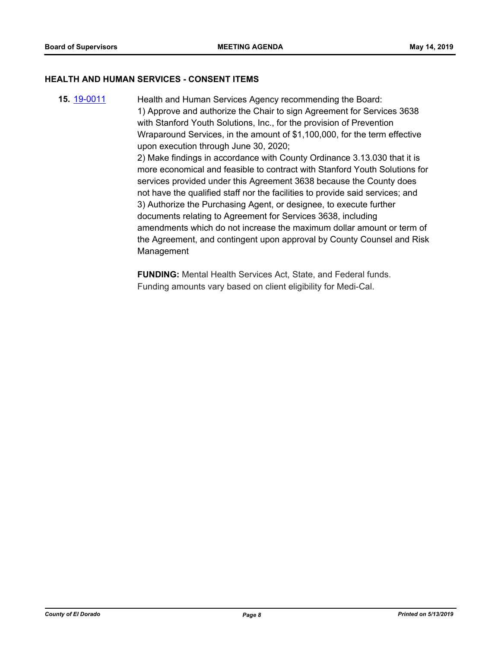#### **HEALTH AND HUMAN SERVICES - CONSENT ITEMS**

**15.** [19-0011](http://eldorado.legistar.com/gateway.aspx?m=l&id=/matter.aspx?key=25332) Health and Human Services Agency recommending the Board: 1) Approve and authorize the Chair to sign Agreement for Services 3638 with Stanford Youth Solutions, Inc., for the provision of Prevention Wraparound Services, in the amount of \$1,100,000, for the term effective upon execution through June 30, 2020; 2) Make findings in accordance with County Ordinance 3.13.030 that it is more economical and feasible to contract with Stanford Youth Solutions for services provided under this Agreement 3638 because the County does not have the qualified staff nor the facilities to provide said services; and 3) Authorize the Purchasing Agent, or designee, to execute further documents relating to Agreement for Services 3638, including amendments which do not increase the maximum dollar amount or term of the Agreement, and contingent upon approval by County Counsel and Risk Management

> **FUNDING:** Mental Health Services Act, State, and Federal funds. Funding amounts vary based on client eligibility for Medi-Cal.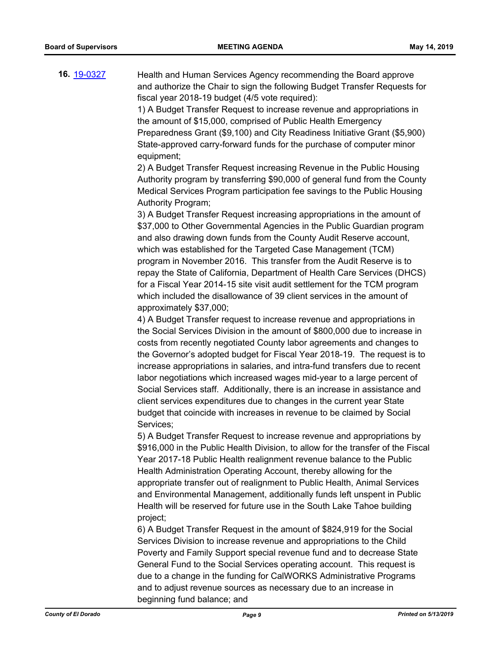**16.** [19-0327](http://eldorado.legistar.com/gateway.aspx?m=l&id=/matter.aspx?key=25648) Health and Human Services Agency recommending the Board approve and authorize the Chair to sign the following Budget Transfer Requests for fiscal year 2018-19 budget (4/5 vote required):

> 1) A Budget Transfer Request to increase revenue and appropriations in the amount of \$15,000, comprised of Public Health Emergency Preparedness Grant (\$9,100) and City Readiness Initiative Grant (\$5,900) State-approved carry-forward funds for the purchase of computer minor equipment;

> 2) A Budget Transfer Request increasing Revenue in the Public Housing Authority program by transferring \$90,000 of general fund from the County Medical Services Program participation fee savings to the Public Housing Authority Program;

> 3) A Budget Transfer Request increasing appropriations in the amount of \$37,000 to Other Governmental Agencies in the Public Guardian program and also drawing down funds from the County Audit Reserve account, which was established for the Targeted Case Management (TCM) program in November 2016. This transfer from the Audit Reserve is to repay the State of California, Department of Health Care Services (DHCS) for a Fiscal Year 2014-15 site visit audit settlement for the TCM program which included the disallowance of 39 client services in the amount of approximately \$37,000;

> 4) A Budget Transfer request to increase revenue and appropriations in the Social Services Division in the amount of \$800,000 due to increase in costs from recently negotiated County labor agreements and changes to the Governor's adopted budget for Fiscal Year 2018-19. The request is to increase appropriations in salaries, and intra-fund transfers due to recent labor negotiations which increased wages mid-year to a large percent of Social Services staff. Additionally, there is an increase in assistance and client services expenditures due to changes in the current year State budget that coincide with increases in revenue to be claimed by Social Services;

5) A Budget Transfer Request to increase revenue and appropriations by \$916,000 in the Public Health Division, to allow for the transfer of the Fiscal Year 2017-18 Public Health realignment revenue balance to the Public Health Administration Operating Account, thereby allowing for the appropriate transfer out of realignment to Public Health, Animal Services and Environmental Management, additionally funds left unspent in Public Health will be reserved for future use in the South Lake Tahoe building project;

6) A Budget Transfer Request in the amount of \$824,919 for the Social Services Division to increase revenue and appropriations to the Child Poverty and Family Support special revenue fund and to decrease State General Fund to the Social Services operating account. This request is due to a change in the funding for CalWORKS Administrative Programs and to adjust revenue sources as necessary due to an increase in beginning fund balance; and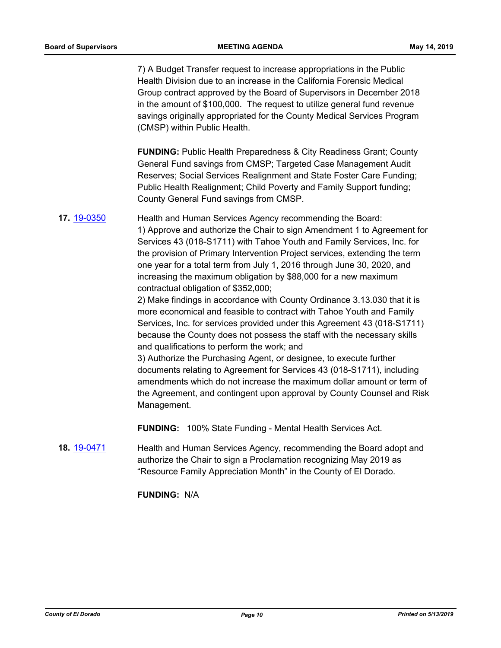7) A Budget Transfer request to increase appropriations in the Public Health Division due to an increase in the California Forensic Medical Group contract approved by the Board of Supervisors in December 2018 in the amount of \$100,000. The request to utilize general fund revenue savings originally appropriated for the County Medical Services Program (CMSP) within Public Health.

**FUNDING:** Public Health Preparedness & City Readiness Grant; County General Fund savings from CMSP; Targeted Case Management Audit Reserves; Social Services Realignment and State Foster Care Funding; Public Health Realignment; Child Poverty and Family Support funding; County General Fund savings from CMSP.

# **17.** [19-0350](http://eldorado.legistar.com/gateway.aspx?m=l&id=/matter.aspx?key=25671) Health and Human Services Agency recommending the Board: 1) Approve and authorize the Chair to sign Amendment 1 to Agreement for Services 43 (018-S1711) with Tahoe Youth and Family Services, Inc. for the provision of Primary Intervention Project services, extending the term one year for a total term from July 1, 2016 through June 30, 2020, and increasing the maximum obligation by \$88,000 for a new maximum contractual obligation of \$352,000;

2) Make findings in accordance with County Ordinance 3.13.030 that it is more economical and feasible to contract with Tahoe Youth and Family Services, Inc. for services provided under this Agreement 43 (018-S1711) because the County does not possess the staff with the necessary skills and qualifications to perform the work; and

3) Authorize the Purchasing Agent, or designee, to execute further documents relating to Agreement for Services 43 (018-S1711), including amendments which do not increase the maximum dollar amount or term of the Agreement, and contingent upon approval by County Counsel and Risk Management.

**FUNDING:** 100% State Funding - Mental Health Services Act.

**18.** [19-0471](http://eldorado.legistar.com/gateway.aspx?m=l&id=/matter.aspx?key=25792) Health and Human Services Agency, recommending the Board adopt and authorize the Chair to sign a Proclamation recognizing May 2019 as "Resource Family Appreciation Month" in the County of El Dorado.

**FUNDING:** N/A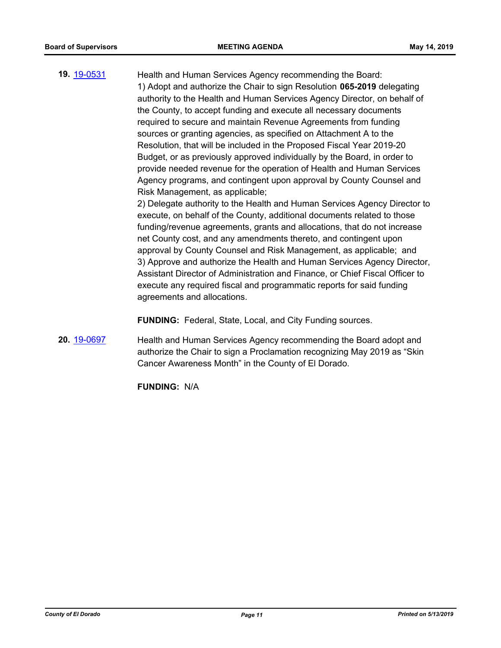**19.** [19-0531](http://eldorado.legistar.com/gateway.aspx?m=l&id=/matter.aspx?key=25852) Health and Human Services Agency recommending the Board: 1) Adopt and authorize the Chair to sign Resolution **065-2019** delegating authority to the Health and Human Services Agency Director, on behalf of the County, to accept funding and execute all necessary documents required to secure and maintain Revenue Agreements from funding sources or granting agencies, as specified on Attachment A to the Resolution, that will be included in the Proposed Fiscal Year 2019-20 Budget, or as previously approved individually by the Board, in order to provide needed revenue for the operation of Health and Human Services Agency programs, and contingent upon approval by County Counsel and Risk Management, as applicable;

2) Delegate authority to the Health and Human Services Agency Director to execute, on behalf of the County, additional documents related to those funding/revenue agreements, grants and allocations, that do not increase net County cost, and any amendments thereto, and contingent upon approval by County Counsel and Risk Management, as applicable; and 3) Approve and authorize the Health and Human Services Agency Director, Assistant Director of Administration and Finance, or Chief Fiscal Officer to execute any required fiscal and programmatic reports for said funding agreements and allocations.

**FUNDING:** Federal, State, Local, and City Funding sources.

**20.** [19-0697](http://eldorado.legistar.com/gateway.aspx?m=l&id=/matter.aspx?key=26019) Health and Human Services Agency recommending the Board adopt and authorize the Chair to sign a Proclamation recognizing May 2019 as "Skin Cancer Awareness Month" in the County of El Dorado.

**FUNDING:** N/A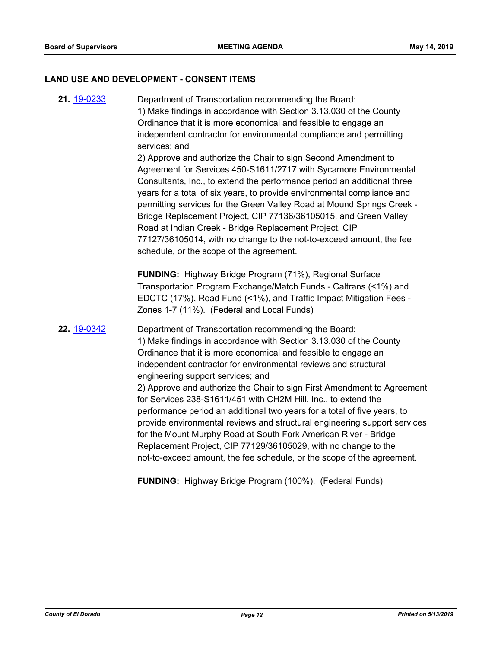#### **LAND USE AND DEVELOPMENT - CONSENT ITEMS**

**21.** [19-0233](http://eldorado.legistar.com/gateway.aspx?m=l&id=/matter.aspx?key=25554) Department of Transportation recommending the Board: 1) Make findings in accordance with Section 3.13.030 of the County Ordinance that it is more economical and feasible to engage an independent contractor for environmental compliance and permitting services; and 2) Approve and authorize the Chair to sign Second Amendment to Agreement for Services 450-S1611/2717 with Sycamore Environmental Consultants, Inc., to extend the performance period an additional three years for a total of six years, to provide environmental compliance and permitting services for the Green Valley Road at Mound Springs Creek - Bridge Replacement Project, CIP 77136/36105015, and Green Valley Road at Indian Creek - Bridge Replacement Project, CIP 77127/36105014, with no change to the not-to-exceed amount, the fee schedule, or the scope of the agreement. **FUNDING:** Highway Bridge Program (71%), Regional Surface Transportation Program Exchange/Match Funds - Caltrans (<1%) and EDCTC (17%), Road Fund (<1%), and Traffic Impact Mitigation Fees - Zones 1-7 (11%). (Federal and Local Funds) **22.** [19-0342](http://eldorado.legistar.com/gateway.aspx?m=l&id=/matter.aspx?key=25663) Department of Transportation recommending the Board: 1) Make findings in accordance with Section 3.13.030 of the County Ordinance that it is more economical and feasible to engage an independent contractor for environmental reviews and structural engineering support services; and 2) Approve and authorize the Chair to sign First Amendment to Agreement for Services 238-S1611/451 with CH2M Hill, Inc., to extend the performance period an additional two years for a total of five years, to provide environmental reviews and structural engineering support services for the Mount Murphy Road at South Fork American River - Bridge Replacement Project, CIP 77129/36105029, with no change to the not-to-exceed amount, the fee schedule, or the scope of the agreement.

**FUNDING:** Highway Bridge Program (100%). (Federal Funds)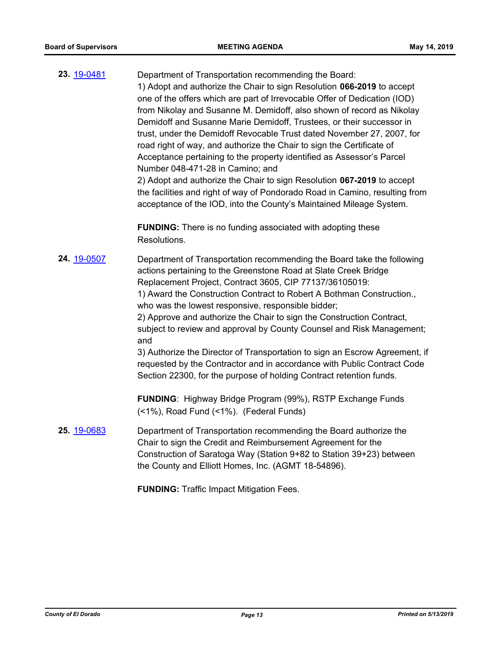| 23. 19-0481 | Department of Transportation recommending the Board:<br>1) Adopt and authorize the Chair to sign Resolution 066-2019 to accept<br>one of the offers which are part of Irrevocable Offer of Dedication (IOD)<br>from Nikolay and Susanne M. Demidoff, also shown of record as Nikolay<br>Demidoff and Susanne Marie Demidoff, Trustees, or their successor in<br>trust, under the Demidoff Revocable Trust dated November 27, 2007, for<br>road right of way, and authorize the Chair to sign the Certificate of<br>Acceptance pertaining to the property identified as Assessor's Parcel<br>Number 048-471-28 in Camino; and<br>2) Adopt and authorize the Chair to sign Resolution 067-2019 to accept<br>the facilities and right of way of Pondorado Road in Camino, resulting from<br>acceptance of the IOD, into the County's Maintained Mileage System. |
|-------------|--------------------------------------------------------------------------------------------------------------------------------------------------------------------------------------------------------------------------------------------------------------------------------------------------------------------------------------------------------------------------------------------------------------------------------------------------------------------------------------------------------------------------------------------------------------------------------------------------------------------------------------------------------------------------------------------------------------------------------------------------------------------------------------------------------------------------------------------------------------|
|             | <b>FUNDING:</b> There is no funding associated with adopting these<br>Resolutions.                                                                                                                                                                                                                                                                                                                                                                                                                                                                                                                                                                                                                                                                                                                                                                           |
| 24. 19-0507 | Department of Transportation recommending the Board take the following<br>actions pertaining to the Greenstone Road at Slate Creek Bridge<br>Replacement Project, Contract 3605, CIP 77137/36105019:<br>1) Award the Construction Contract to Robert A Bothman Construction.,<br>who was the lowest responsive, responsible bidder;<br>2) Approve and authorize the Chair to sign the Construction Contract,<br>subject to review and approval by County Counsel and Risk Management;<br>and<br>3) Authorize the Director of Transportation to sign an Escrow Agreement, if<br>requested by the Contractor and in accordance with Public Contract Code<br>Section 22300, for the purpose of holding Contract retention funds.                                                                                                                                |
|             | <b>FUNDING: Highway Bridge Program (99%), RSTP Exchange Funds</b><br>(<1%), Road Fund (<1%). (Federal Funds)                                                                                                                                                                                                                                                                                                                                                                                                                                                                                                                                                                                                                                                                                                                                                 |
| 25. 19-0683 | Department of Transportation recommending the Board authorize the<br>Chair to sign the Credit and Reimbursement Agreement for the<br>Construction of Saratoga Way (Station 9+82 to Station 39+23) between<br>the County and Elliott Homes, Inc. (AGMT 18-54896).                                                                                                                                                                                                                                                                                                                                                                                                                                                                                                                                                                                             |
|             |                                                                                                                                                                                                                                                                                                                                                                                                                                                                                                                                                                                                                                                                                                                                                                                                                                                              |

**FUNDING:** Traffic Impact Mitigation Fees.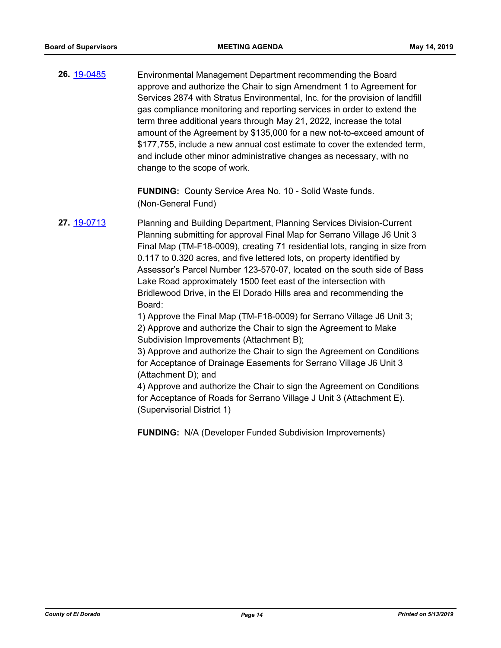**26.** [19-0485](http://eldorado.legistar.com/gateway.aspx?m=l&id=/matter.aspx?key=25806) Environmental Management Department recommending the Board approve and authorize the Chair to sign Amendment 1 to Agreement for Services 2874 with Stratus Environmental, Inc. for the provision of landfill gas compliance monitoring and reporting services in order to extend the term three additional years through May 21, 2022, increase the total amount of the Agreement by \$135,000 for a new not-to-exceed amount of \$177,755, include a new annual cost estimate to cover the extended term, and include other minor administrative changes as necessary, with no change to the scope of work.

> **FUNDING:** County Service Area No. 10 - Solid Waste funds. (Non-General Fund)

**27.** [19-0713](http://eldorado.legistar.com/gateway.aspx?m=l&id=/matter.aspx?key=26035) Planning and Building Department, Planning Services Division-Current Planning submitting for approval Final Map for Serrano Village J6 Unit 3 Final Map (TM-F18-0009), creating 71 residential lots, ranging in size from 0.117 to 0.320 acres, and five lettered lots, on property identified by Assessor's Parcel Number 123-570-07, located on the south side of Bass Lake Road approximately 1500 feet east of the intersection with Bridlewood Drive, in the El Dorado Hills area and recommending the Board:

> 1) Approve the Final Map (TM-F18-0009) for Serrano Village J6 Unit 3; 2) Approve and authorize the Chair to sign the Agreement to Make Subdivision Improvements (Attachment B);

3) Approve and authorize the Chair to sign the Agreement on Conditions for Acceptance of Drainage Easements for Serrano Village J6 Unit 3 (Attachment D); and

4) Approve and authorize the Chair to sign the Agreement on Conditions for Acceptance of Roads for Serrano Village J Unit 3 (Attachment E). (Supervisorial District 1)

**FUNDING:** N/A (Developer Funded Subdivision Improvements)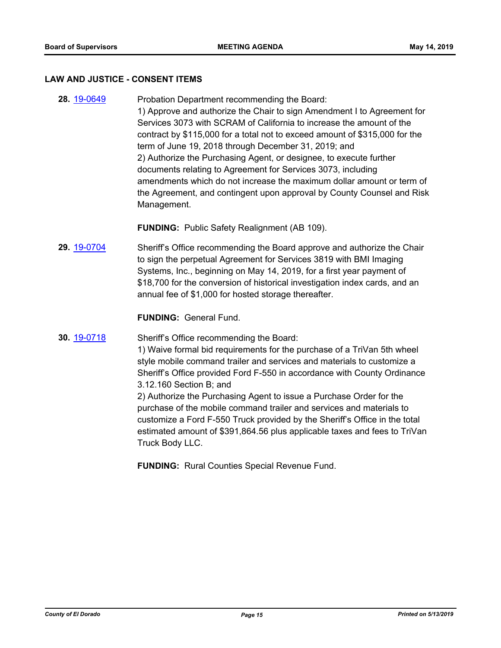#### **LAW AND JUSTICE - CONSENT ITEMS**

**28.** [19-0649](http://eldorado.legistar.com/gateway.aspx?m=l&id=/matter.aspx?key=25971) Probation Department recommending the Board: 1) Approve and authorize the Chair to sign Amendment I to Agreement for Services 3073 with SCRAM of California to increase the amount of the contract by \$115,000 for a total not to exceed amount of \$315,000 for the term of June 19, 2018 through December 31, 2019; and 2) Authorize the Purchasing Agent, or designee, to execute further documents relating to Agreement for Services 3073, including amendments which do not increase the maximum dollar amount or term of the Agreement, and contingent upon approval by County Counsel and Risk Management.

**FUNDING:** Public Safety Realignment (AB 109).

**29.** [19-0704](http://eldorado.legistar.com/gateway.aspx?m=l&id=/matter.aspx?key=26026) Sheriff's Office recommending the Board approve and authorize the Chair to sign the perpetual Agreement for Services 3819 with BMI Imaging Systems, Inc., beginning on May 14, 2019, for a first year payment of \$18,700 for the conversion of historical investigation index cards, and an annual fee of \$1,000 for hosted storage thereafter.

**FUNDING:** General Fund.

**30.** [19-0718](http://eldorado.legistar.com/gateway.aspx?m=l&id=/matter.aspx?key=26040) Sheriff's Office recommending the Board:

1) Waive formal bid requirements for the purchase of a TriVan 5th wheel style mobile command trailer and services and materials to customize a Sheriff's Office provided Ford F-550 in accordance with County Ordinance 3.12.160 Section B; and

2) Authorize the Purchasing Agent to issue a Purchase Order for the purchase of the mobile command trailer and services and materials to customize a Ford F-550 Truck provided by the Sheriff's Office in the total estimated amount of \$391,864.56 plus applicable taxes and fees to TriVan Truck Body LLC.

**FUNDING:** Rural Counties Special Revenue Fund.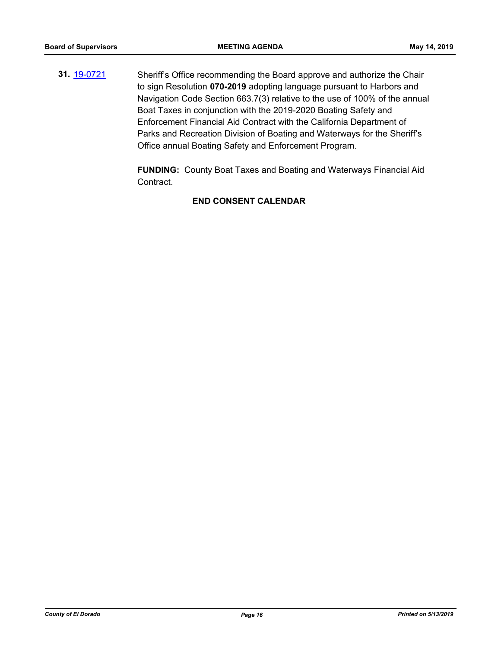**31.** [19-0721](http://eldorado.legistar.com/gateway.aspx?m=l&id=/matter.aspx?key=26043) Sheriff's Office recommending the Board approve and authorize the Chair to sign Resolution **070-2019** adopting language pursuant to Harbors and Navigation Code Section 663.7(3) relative to the use of 100% of the annual Boat Taxes in conjunction with the 2019-2020 Boating Safety and Enforcement Financial Aid Contract with the California Department of Parks and Recreation Division of Boating and Waterways for the Sheriff's Office annual Boating Safety and Enforcement Program.

> **FUNDING:** County Boat Taxes and Boating and Waterways Financial Aid Contract.

#### **END CONSENT CALENDAR**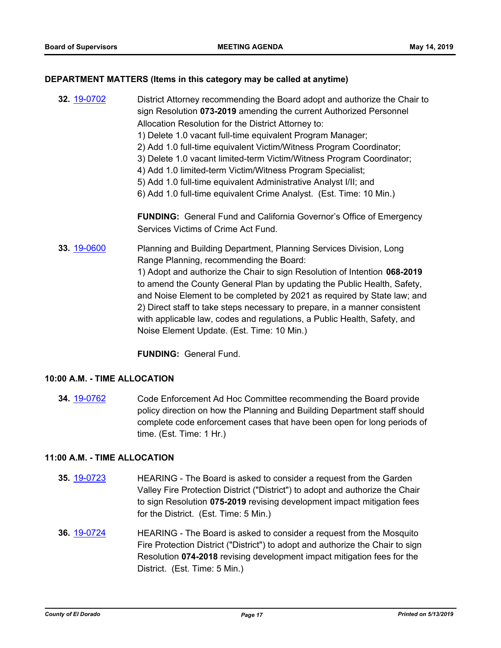#### **DEPARTMENT MATTERS (Items in this category may be called at anytime)**

**32.** [19-0702](http://eldorado.legistar.com/gateway.aspx?m=l&id=/matter.aspx?key=26024) District Attorney recommending the Board adopt and authorize the Chair to sign Resolution **073-2019** amending the current Authorized Personnel Allocation Resolution for the District Attorney to:

- 1) Delete 1.0 vacant full-time equivalent Program Manager;
- 2) Add 1.0 full-time equivalent Victim/Witness Program Coordinator;
- 3) Delete 1.0 vacant limited-term Victim/Witness Program Coordinator;
- 4) Add 1.0 limited-term Victim/Witness Program Specialist;
- 5) Add 1.0 full-time equivalent Administrative Analyst I/II; and
- 6) Add 1.0 full-time equivalent Crime Analyst. (Est. Time: 10 Min.)

**FUNDING:** General Fund and California Governor's Office of Emergency Services Victims of Crime Act Fund.

**33.** [19-0600](http://eldorado.legistar.com/gateway.aspx?m=l&id=/matter.aspx?key=25921) Planning and Building Department, Planning Services Division, Long Range Planning, recommending the Board:

1) Adopt and authorize the Chair to sign Resolution of Intention **068-2019** to amend the County General Plan by updating the Public Health, Safety, and Noise Element to be completed by 2021 as required by State law; and 2) Direct staff to take steps necessary to prepare, in a manner consistent with applicable law, codes and regulations, a Public Health, Safety, and Noise Element Update. (Est. Time: 10 Min.)

**FUNDING:** General Fund.

#### **10:00 A.M. - TIME ALLOCATION**

**34.** [19-0762](http://eldorado.legistar.com/gateway.aspx?m=l&id=/matter.aspx?key=26084) Code Enforcement Ad Hoc Committee recommending the Board provide policy direction on how the Planning and Building Department staff should complete code enforcement cases that have been open for long periods of time. (Est. Time: 1 Hr.)

#### **11:00 A.M. - TIME ALLOCATION**

- **35.** [19-0723](http://eldorado.legistar.com/gateway.aspx?m=l&id=/matter.aspx?key=26045) HEARING The Board is asked to consider a request from the Garden Valley Fire Protection District ("District") to adopt and authorize the Chair to sign Resolution **075-2019** revising development impact mitigation fees for the District. (Est. Time: 5 Min.)
- **36.** [19-0724](http://eldorado.legistar.com/gateway.aspx?m=l&id=/matter.aspx?key=26046) HEARING The Board is asked to consider a request from the Mosquito Fire Protection District ("District") to adopt and authorize the Chair to sign Resolution **074-2018** revising development impact mitigation fees for the District. (Est. Time: 5 Min.)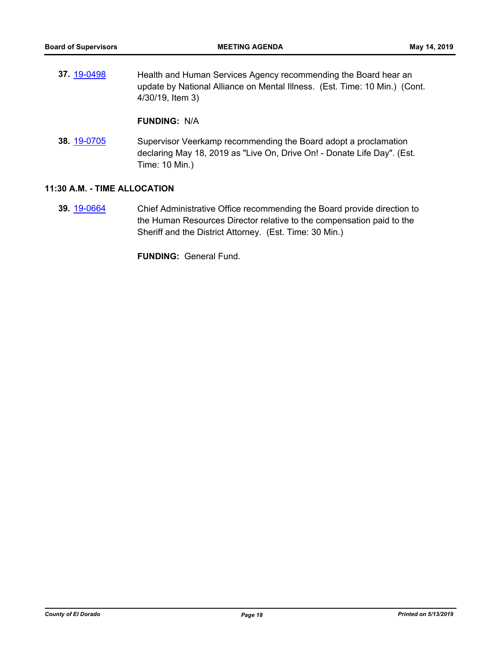| 37.19-0498  | Health and Human Services Agency recommending the Board hear an<br>update by National Alliance on Mental Illness. (Est. Time: 10 Min.) (Cont.<br>4/30/19, Item 3) |
|-------------|-------------------------------------------------------------------------------------------------------------------------------------------------------------------|
|             | <b>FUNDING: N/A</b>                                                                                                                                               |
| 38. 19-0705 | Supervisor Veerkamp recommending the Board adopt a proclamation<br>declaring May 18, 2019 as "Live On, Drive On! - Donate Life Day". (Est.                        |

#### **11:30 A.M. - TIME ALLOCATION**

**39.** [19-0664](http://eldorado.legistar.com/gateway.aspx?m=l&id=/matter.aspx?key=25986) Chief Administrative Office recommending the Board provide direction to the Human Resources Director relative to the compensation paid to the Sheriff and the District Attorney. (Est. Time: 30 Min.)

**FUNDING:** General Fund.

Time: 10 Min.)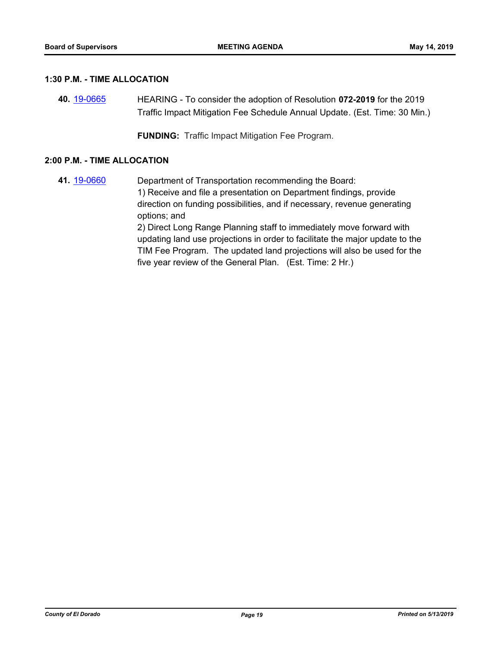#### **1:30 P.M. - TIME ALLOCATION**

**40.** [19-0665](http://eldorado.legistar.com/gateway.aspx?m=l&id=/matter.aspx?key=25987) HEARING - To consider the adoption of Resolution **072-2019** for the 2019 Traffic Impact Mitigation Fee Schedule Annual Update*.* (Est. Time: 30 Min.)

**FUNDING:** Traffic Impact Mitigation Fee Program.

#### **2:00 P.M. - TIME ALLOCATION**

**41.** [19-0660](http://eldorado.legistar.com/gateway.aspx?m=l&id=/matter.aspx?key=25982) Department of Transportation recommending the Board: 1) Receive and file a presentation on Department findings, provide direction on funding possibilities, and if necessary, revenue generating options; and 2) Direct Long Range Planning staff to immediately move forward with updating land use projections in order to facilitate the major update to the TIM Fee Program. The updated land projections will also be used for the five year review of the General Plan. (Est. Time: 2 Hr.)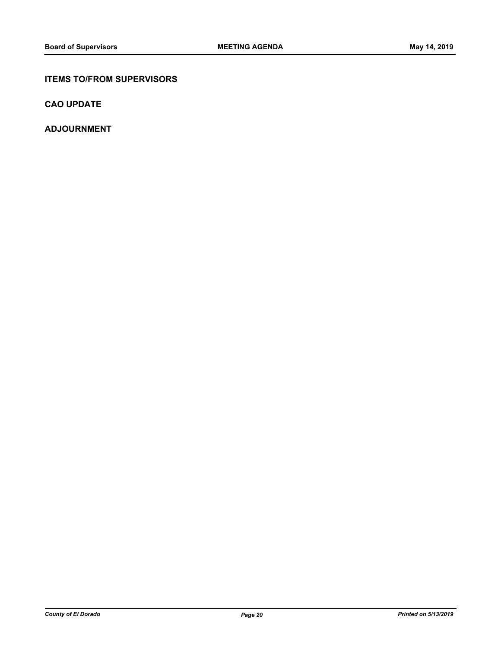#### **ITEMS TO/FROM SUPERVISORS**

**CAO UPDATE**

**ADJOURNMENT**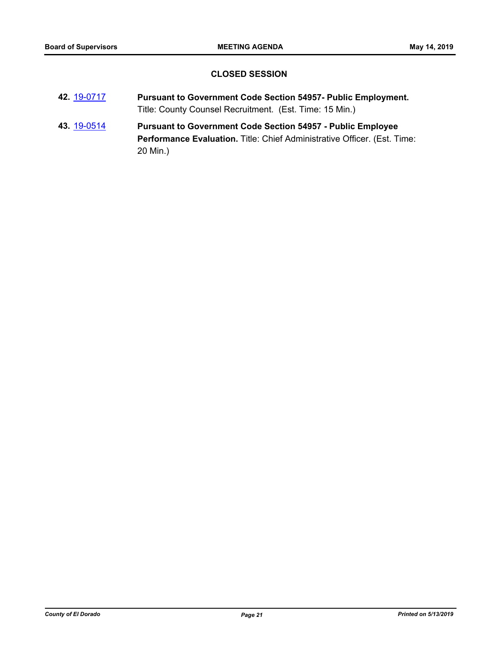### **CLOSED SESSION**

- **42.** [19-0717](http://eldorado.legistar.com/gateway.aspx?m=l&id=/matter.aspx?key=26039) **Pursuant to Government Code Section 54957- Public Employment.** Title: County Counsel Recruitment. (Est. Time: 15 Min.)
- **43.** [19-0514](http://eldorado.legistar.com/gateway.aspx?m=l&id=/matter.aspx?key=25835) **Pursuant to Government Code Section 54957 Public Employee**  Performance Evaluation. Title: Chief Administrative Officer. (Est. Time: 20 Min.)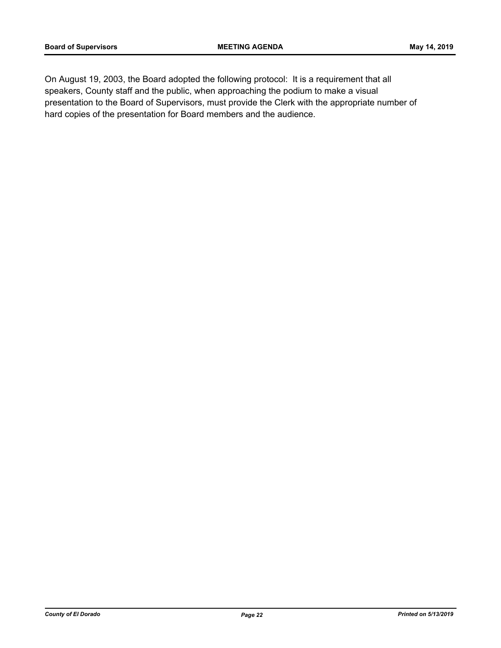On August 19, 2003, the Board adopted the following protocol: It is a requirement that all speakers, County staff and the public, when approaching the podium to make a visual presentation to the Board of Supervisors, must provide the Clerk with the appropriate number of hard copies of the presentation for Board members and the audience.